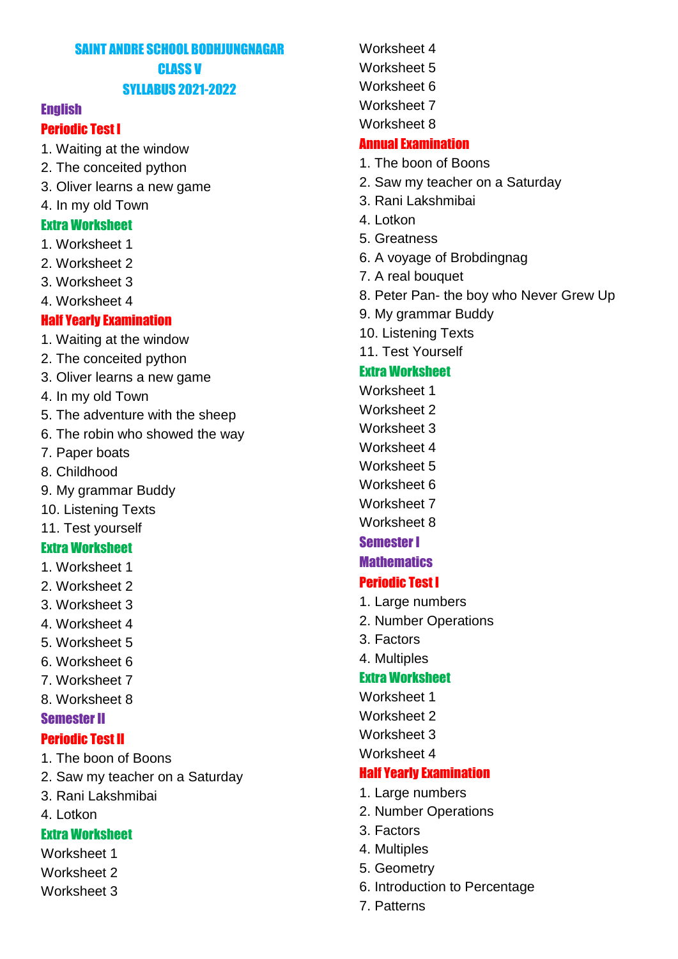# SAINT ANDRE SCHOOL BODHJUNGNAGAR CLASS V SYLLABUS 2021-2022

#### **English**

#### Periodic Test I

- 1. Waiting at the window
- 2. The conceited python
- 3. Oliver learns a new game
- 4. In my old Town

#### Extra Worksheet

- 1. Worksheet 1
- 2. Worksheet 2
- 3. Worksheet 3
- 4. Worksheet 4

#### Half Yearly Examination

- 1. Waiting at the window
- 2. The conceited python
- 3. Oliver learns a new game
- 4. In my old Town
- 5. The adventure with the sheep
- 6. The robin who showed the way
- 7. Paper boats
- 8. Childhood
- 9. My grammar Buddy
- 10. Listening Texts
- 11. Test yourself

#### Extra Worksheet

- 1. Worksheet 1
- 2. Worksheet 2
- 3. Worksheet 3
- 4. Worksheet 4
- 5. Worksheet 5
- 6. Worksheet 6
- 7. Worksheet 7
- 8. Worksheet 8

#### Semester II

#### Periodic Test II

- 1. The boon of Boons
- 2. Saw my teacher on a Saturday
- 3. Rani Lakshmibai
- 4. Lotkon

### Extra Worksheet

- Worksheet 1
- Worksheet 2
- Worksheet 3

Worksheet 4 Worksheet 5 Worksheet 6 Worksheet 7 Worksheet 8

#### Annual Examination

- 1. The boon of Boons
- 2. Saw my teacher on a Saturday
- 3. Rani Lakshmibai
- 4. Lotkon
- 5. Greatness
- 6. A voyage of Brobdingnag
- 7. A real bouquet
- 8. Peter Pan- the boy who Never Grew Up
- 9. My grammar Buddy
- 10. Listening Texts
- 11. Test Yourself

### Extra Worksheet

- Worksheet 1
- Worksheet 2
- Worksheet 3
- Worksheet 4
- Worksheet 5
- Worksheet 6
- Worksheet 7
- Worksheet 8

### Semester I

### **Mathematics**

#### Periodic Test I

- 1. Large numbers
- 2. Number Operations
- 3. Factors
- 4. Multiples

#### Extra Worksheet

- Worksheet 1
- Worksheet 2
- Worksheet 3
- Worksheet 4

#### Half Yearly Examination

- 1. Large numbers
- 2. Number Operations
- 3. Factors
- 4. Multiples
- 5. Geometry
- 6. Introduction to Percentage
- 7. Patterns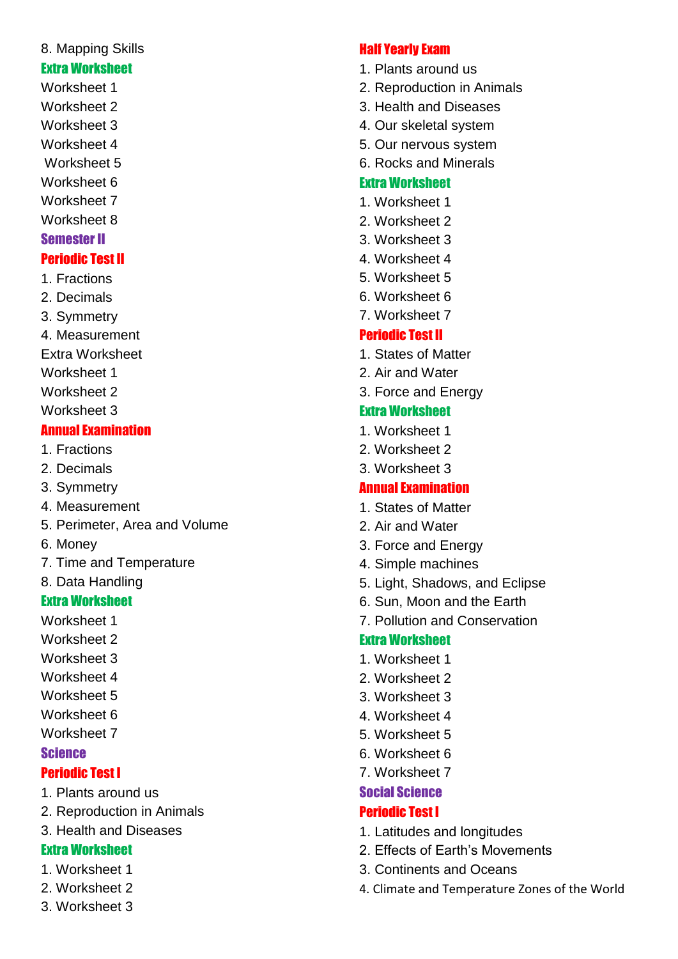# 8. Mapping Skills

### Extra Worksheet

- Worksheet 1 Worksheet 2
- Worksheet 3
- Worksheet 4
- Worksheet 5
- Worksheet 6
- Worksheet 7
- Worksheet 8

# Semester II

# Periodic Test II

- 1. Fractions
- 2. Decimals
- 3. Symmetry
- 4. Measurement
- Extra Worksheet
- Worksheet 1
- Worksheet 2
- Worksheet 3

# Annual Examination

- 1. Fractions
- 2. Decimals
- 3. Symmetry
- 4. Measurement
- 5. Perimeter, Area and Volume
- 6. Money
- 7. Time and Temperature
- 8. Data Handling

# Extra Worksheet

- Worksheet 1
- Worksheet 2
- Worksheet 3
- Worksheet 4
- Worksheet 5
- Worksheet 6
- Worksheet 7

# Science

# Periodic Test I

- 1. Plants around us
- 2. Reproduction in Animals
- 3. Health and Diseases

# Extra Worksheet

- 1. Worksheet 1
- 2. Worksheet 2
- 3. Worksheet 3

# Half Yearly Exam

- 1. Plants around us
- 2. Reproduction in Animals
- 3. Health and Diseases
- 4. Our skeletal system
- 5. Our nervous system
- 6. Rocks and Minerals

# Extra Worksheet

- 1. Worksheet 1
- 2. Worksheet 2
- 3. Worksheet 3
- 4. Worksheet 4
- 5. Worksheet 5
- 6. Worksheet 6
- 7. Worksheet 7

# Periodic Test II

- 1. States of Matter
- 2. Air and Water
- 3. Force and Energy

# Extra Worksheet

- 1. Worksheet 1
- 2. Worksheet 2
- 3. Worksheet 3

# Annual Examination

- 1. States of Matter
- 2. Air and Water
- 3. Force and Energy
- 4. Simple machines
- 5. Light, Shadows, and Eclipse
- 6. Sun, Moon and the Earth
- 7. Pollution and Conservation

# Extra Worksheet

- 1. Worksheet 1
- 2. Worksheet 2
- 3. Worksheet 3
- 4. Worksheet 4
- 5. Worksheet 5
- 6. Worksheet 6
- 7. Worksheet 7

# Social Science

# Periodic Test I

- 1. Latitudes and longitudes
- 2. Effects of Earth's Movements
- 3. Continents and Oceans
- 4. Climate and Temperature Zones of the World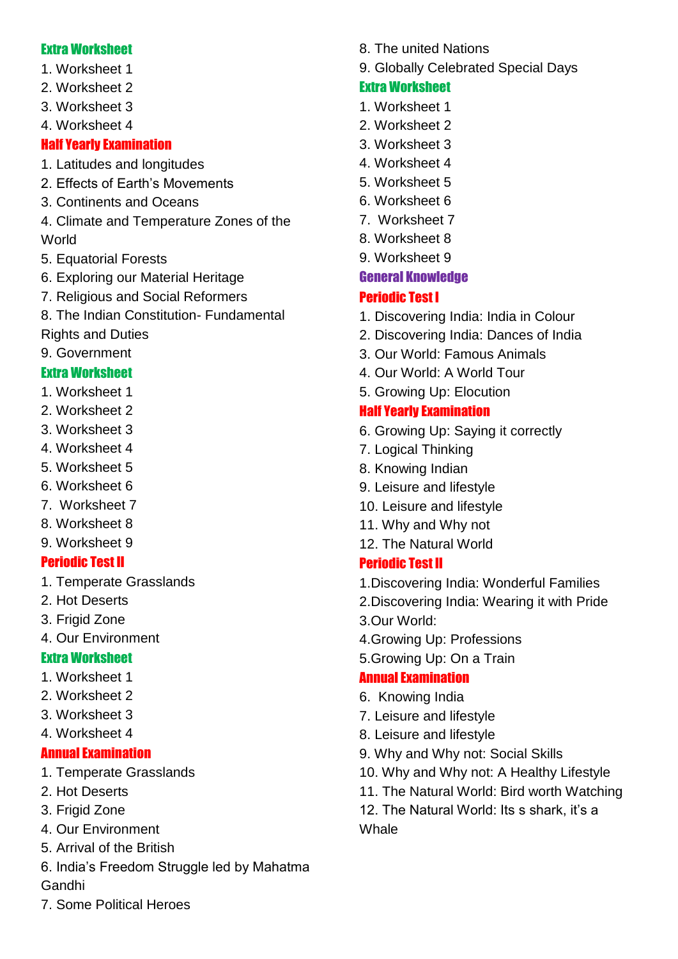### Extra Worksheet

- 1. Worksheet 1
- 2. Worksheet 2
- 3. Worksheet 3
- 4. Worksheet 4

# Half Yearly Examination

- 1. Latitudes and longitudes
- 2. Effects of Earth's Movements
- 3. Continents and Oceans
- 4. Climate and Temperature Zones of the World
- 5. Equatorial Forests
- 6. Exploring our Material Heritage
- 7. Religious and Social Reformers
- 8. The Indian Constitution- Fundamental
- Rights and Duties
- 9. Government

# Extra Worksheet

- 1. Worksheet 1
- 2. Worksheet 2
- 3. Worksheet 3
- 4. Worksheet 4
- 5. Worksheet 5
- 6. Worksheet 6
- 7. Worksheet 7
- 8. Worksheet 8
- 9. Worksheet 9

# Periodic Test II

- 1. Temperate Grasslands
- 2. Hot Deserts
- 3. Frigid Zone
- 4. Our Environment

# Extra Worksheet

- 1. Worksheet 1
- 2. Worksheet 2
- 3. Worksheet 3
- 4. Worksheet 4

# Annual Examination

- 1. Temperate Grasslands
- 2. Hot Deserts
- 3. Frigid Zone
- 4. Our Environment
- 5. Arrival of the British
- 6. India's Freedom Struggle led by Mahatma Gandhi
- 8. The united Nations
- 9. Globally Celebrated Special Days

# Extra Worksheet

- 1. Worksheet 1
- 2. Worksheet 2
- 3. Worksheet 3
- 4. Worksheet 4
- 5. Worksheet 5
- 6. Worksheet 6
- 7. Worksheet 7
- 8. Worksheet 8
- 9. Worksheet 9

# General Knowledge

# Periodic Test I

- 1. Discovering India: India in Colour
- 2. Discovering India: Dances of India
- 3. Our World: Famous Animals
- 4. Our World: A World Tour
- 5. Growing Up: Elocution

# Half Yearly Examination

- 6. Growing Up: Saying it correctly
- 7. Logical Thinking
- 8. Knowing Indian
- 9. Leisure and lifestyle
- 10. Leisure and lifestyle
- 11. Why and Why not
- 12. The Natural World

# Periodic Test II

- 1.Discovering India: Wonderful Families
- 2.Discovering India: Wearing it with Pride
- 3.Our World:
- 4.Growing Up: Professions
- 5.Growing Up: On a Train

# Annual Examination

- 6. Knowing India
- 7. Leisure and lifestyle
- 8. Leisure and lifestyle
- 9. Why and Why not: Social Skills
- 10. Why and Why not: A Healthy Lifestyle
- 11. The Natural World: Bird worth Watching
- 12. The Natural World: Its s shark, it's a **Whale**

7. Some Political Heroes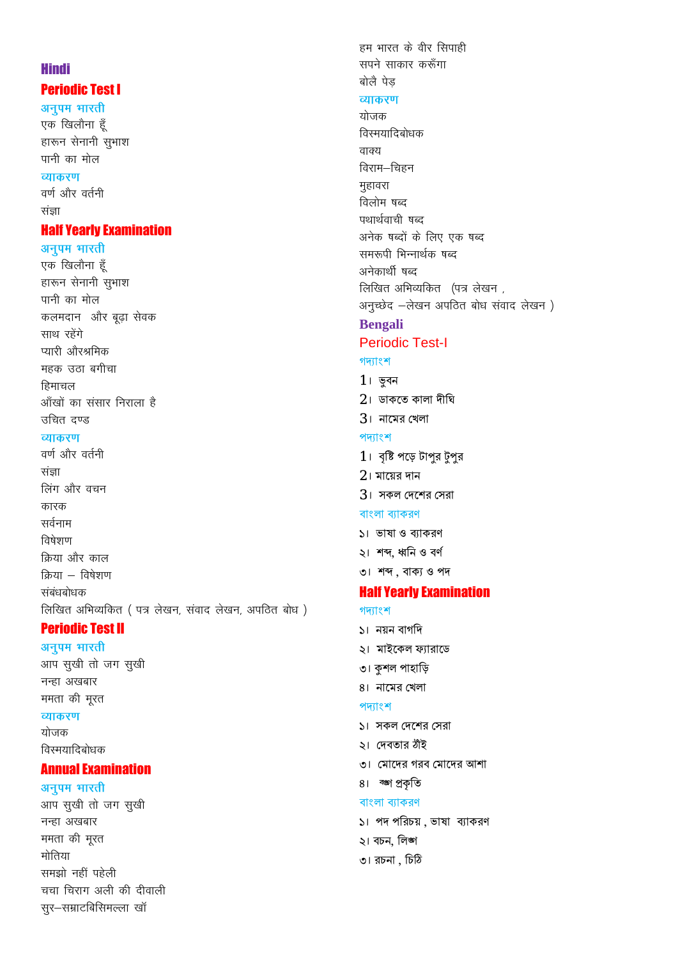# **Hindi Periodic Test I**

अनुपम भारती एक खिलौना हूँ हारून सेनानी सुभाश पानी का मोल व्याकरण वर्ण और वर्तनी संज्ञा

# **Half Yearly Examination**

#### अनुपम भारती

एक खिलौना हूँ हारून सेनानी सुभाश पानी का मोल कलमदान और बूढ़ा सेवक साथ रहेंगे प्यारी औरश्रमिक महक उठा बगीचा हिमाचल आँखों का संसार निराला है उचित दण्ड व्याकरण

वर्ण और वर्तनी

संज्ञा लिंग और वचन कारक सर्वनाम विषेशण किया और काल क्रिया – विषेशण संबंधबोधक लिखित अभिव्यकित (पत्र लेखन, संवाद लेखन, अपठित बोध)

### **Periodic Test II**

अनुपम भारती आप सुखी तो जग सुखी नन्हा अखबार ममता की मूरत व्याकरण योजक विस्मयादिबोधक

### **Annual Examination**

#### अनुपम भारती

आप सुखी तो जग सुखी नन्हा अखबार ममता की मूरत मोतिया समझो नहीं पहेली चचा चिराग अली की दीवाली सूर-सम्राटबिसिमल्ला खॉ

सपने साकार करूँगा बोलै पेड व्याकरण योजक विस्मयादिबोधक वाक्य विराम–चिहन मुहावरा विलोम षब्द पथार्थवाची षब्द अनेक षब्दों के लिए एक षब्द समरूपी भिन्नार्थक षब्द अनेकार्थी षब्द लिखित अभिव्यकित (पत्र लेखन, अनुच्छेद -लेखन अपठित बोध संवाद लेखन) **Bengali Periodic Test-I** গদ্যাংশ  $1$ ৷ ভূবন  $2<sub>1</sub>$  ডাকতে কালা দীঘি  $3<sub>1</sub>$  নামের খেলা পদ্যাংশ  $1$ । বৃষ্টি পড়ে টাপুর টুপুর  $2<sub>1</sub>$  মায়ের দান  $3<sub>1</sub>$  সকল দেশের সেরা বাংলা ব্যাকরণ ১। ভাষা ও ব্যাকরণ ২। শব্দ, ধ্বনি ও বর্ণ ৩। শব্দ, বাক্য ও পদ **Half Yearly Examination** গদ্যাংশ ১। নয়ন বাগদি ২। মাইকেল ফ্যারাডে ৩। কশল পাহাড়ি 8। নামের খেলা পদ্যাংশ ১। সকল দেশের সেরা ১। দেবতার ঠাঁই ৩। মোদের গরব মোদের আশা

8। ক্ষা প্রকৃতি

বাংলা ব্যাকরণ

২। বচন, লিজা

৩। রচনা , চিঠি

১। পদ পরিচয়, ভাষা ব্যাকরণ

हम भारत के वीर सिपाही